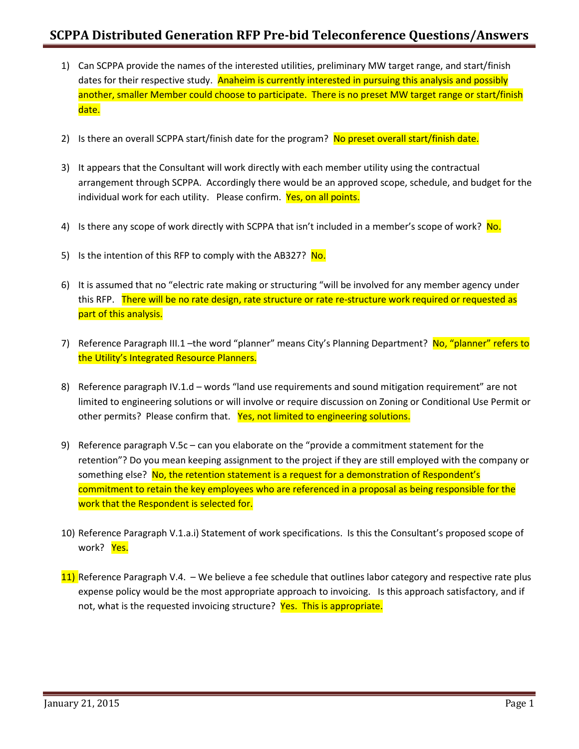- 1) Can SCPPA provide the names of the interested utilities, preliminary MW target range, and start/finish dates for their respective study. Anaheim is currently interested in pursuing this analysis and possibly another, smaller Member could choose to participate. There is no preset MW target range or start/finish date.
- 2) Is there an overall SCPPA start/finish date for the program? No preset overall start/finish date.
- 3) It appears that the Consultant will work directly with each member utility using the contractual arrangement through SCPPA. Accordingly there would be an approved scope, schedule, and budget for the individual work for each utility. Please confirm. Yes, on all points.
- 4) Is there any scope of work directly with SCPPA that isn't included in a member's scope of work? No.
- 5) Is the intention of this RFP to comply with the AB327? No.
- 6) It is assumed that no "electric rate making or structuring "will be involved for any member agency under this RFP. There will be no rate design, rate structure or rate re-structure work required or requested as part of this analysis.
- 7) Reference Paragraph III.1 –the word "planner" means City's Planning Department? No, "planner" refers to the Utility's Integrated Resource Planners.
- 8) Reference paragraph IV.1.d words "land use requirements and sound mitigation requirement" are not limited to engineering solutions or will involve or require discussion on Zoning or Conditional Use Permit or other permits? Please confirm that. Yes, not limited to engineering solutions.
- 9) Reference paragraph V.5c can you elaborate on the "provide a commitment statement for the retention"? Do you mean keeping assignment to the project if they are still employed with the company or something else? No, the retention statement is a request for a demonstration of Respondent's commitment to retain the key employees who are referenced in a proposal as being responsible for the work that the Respondent is selected for.
- 10) Reference Paragraph V.1.a.i) Statement of work specifications. Is this the Consultant's proposed scope of work? Yes.
- 11) Reference Paragraph V.4. We believe a fee schedule that outlines labor category and respective rate plus expense policy would be the most appropriate approach to invoicing. Is this approach satisfactory, and if not, what is the requested invoicing structure? Yes. This is appropriate.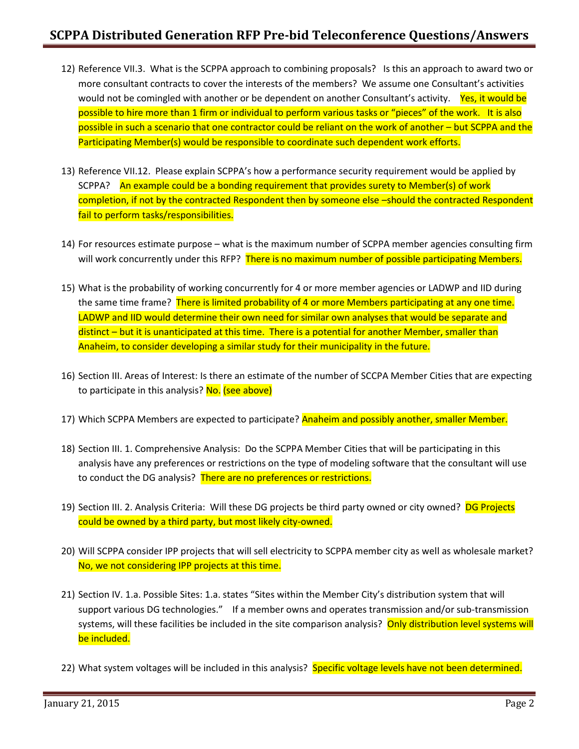- 12) Reference VII.3. What is the SCPPA approach to combining proposals? Is this an approach to award two or more consultant contracts to cover the interests of the members? We assume one Consultant's activities would not be comingled with another or be dependent on another Consultant's activity. Yes, it would be possible to hire more than 1 firm or individual to perform various tasks or "pieces" of the work. It is also possible in such a scenario that one contractor could be reliant on the work of another – but SCPPA and the Participating Member(s) would be responsible to coordinate such dependent work efforts.
- 13) Reference VII.12. Please explain SCPPA's how a performance security requirement would be applied by SCPPA? An example could be a bonding requirement that provides surety to Member(s) of work completion, if not by the contracted Respondent then by someone else –should the contracted Respondent fail to perform tasks/responsibilities.
- 14) For resources estimate purpose what is the maximum number of SCPPA member agencies consulting firm will work concurrently under this RFP? There is no maximum number of possible participating Members.
- 15) What is the probability of working concurrently for 4 or more member agencies or LADWP and IID during the same time frame? There is limited probability of 4 or more Members participating at any one time. LADWP and IID would determine their own need for similar own analyses that would be separate and distinct – but it is unanticipated at this time. There is a potential for another Member, smaller than Anaheim, to consider developing a similar study for their municipality in the future.
- 16) Section III. Areas of Interest: Is there an estimate of the number of SCCPA Member Cities that are expecting to participate in this analysis? No. (see above)
- 17) Which SCPPA Members are expected to participate? Anaheim and possibly another, smaller Member.
- 18) Section III. 1. Comprehensive Analysis: Do the SCPPA Member Cities that will be participating in this analysis have any preferences or restrictions on the type of modeling software that the consultant will use to conduct the DG analysis? There are no preferences or restrictions.
- 19) Section III. 2. Analysis Criteria: Will these DG projects be third party owned or city owned? DG Projects could be owned by a third party, but most likely city-owned.
- 20) Will SCPPA consider IPP projects that will sell electricity to SCPPA member city as well as wholesale market? No, we not considering IPP projects at this time.
- 21) Section IV. 1.a. Possible Sites: 1.a. states "Sites within the Member City's distribution system that will support various DG technologies." If a member owns and operates transmission and/or sub-transmission systems, will these facilities be included in the site comparison analysis? Only distribution level systems will be included.
- 22) What system voltages will be included in this analysis? Specific voltage levels have not been determined.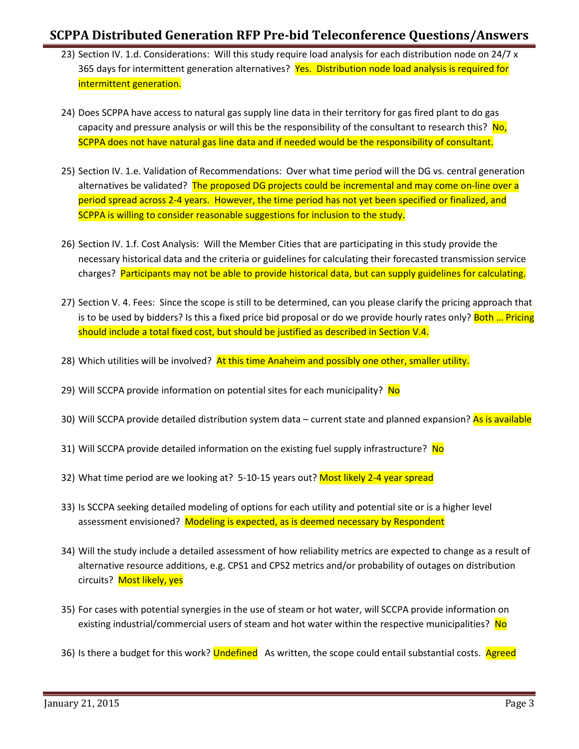- 23) Section IV. 1.d. Considerations: Will this study require load analysis for each distribution node on 24/7 x 365 days for intermittent generation alternatives? Yes. Distribution node load analysis is required for intermittent generation.
- 24) Does SCPPA have access to natural gas supply line data in their territory for gas fired plant to do gas capacity and pressure analysis or will this be the responsibility of the consultant to research this? No, SCPPA does not have natural gas line data and if needed would be the responsibility of consultant.
- 25) Section IV. 1.e. Validation of Recommendations: Over what time period will the DG vs. central generation alternatives be validated? The proposed DG projects could be incremental and may come on-line over a period spread across 2-4 years. However, the time period has not yet been specified or finalized, and SCPPA is willing to consider reasonable suggestions for inclusion to the study.
- 26) Section IV. 1.f. Cost Analysis: Will the Member Cities that are participating in this study provide the necessary historical data and the criteria or guidelines for calculating their forecasted transmission service charges? Participants may not be able to provide historical data, but can supply guidelines for calculating.
- 27) Section V. 4. Fees: Since the scope is still to be determined, can you please clarify the pricing approach that is to be used by bidders? Is this a fixed price bid proposal or do we provide hourly rates only? Both ... Pricing should include a total fixed cost, but should be justified as described in Section V.4.
- 28) Which utilities will be involved? At this time Anaheim and possibly one other, smaller utility.
- 29) Will SCCPA provide information on potential sites for each municipality? No
- 30) Will SCCPA provide detailed distribution system data current state and planned expansion? As is available
- 31) Will SCCPA provide detailed information on the existing fuel supply infrastructure? No
- 32) What time period are we looking at? 5-10-15 years out? Most likely 2-4 year spread
- 33) Is SCCPA seeking detailed modeling of options for each utility and potential site or is a higher level assessment envisioned? Modeling is expected, as is deemed necessary by Respondent
- 34) Will the study include a detailed assessment of how reliability metrics are expected to change as a result of alternative resource additions, e.g. CPS1 and CPS2 metrics and/or probability of outages on distribution circuits? Most likely, yes
- 35) For cases with potential synergies in the use of steam or hot water, will SCCPA provide information on existing industrial/commercial users of steam and hot water within the respective municipalities? No
- 36) Is there a budget for this work? Undefined As written, the scope could entail substantial costs. Agreed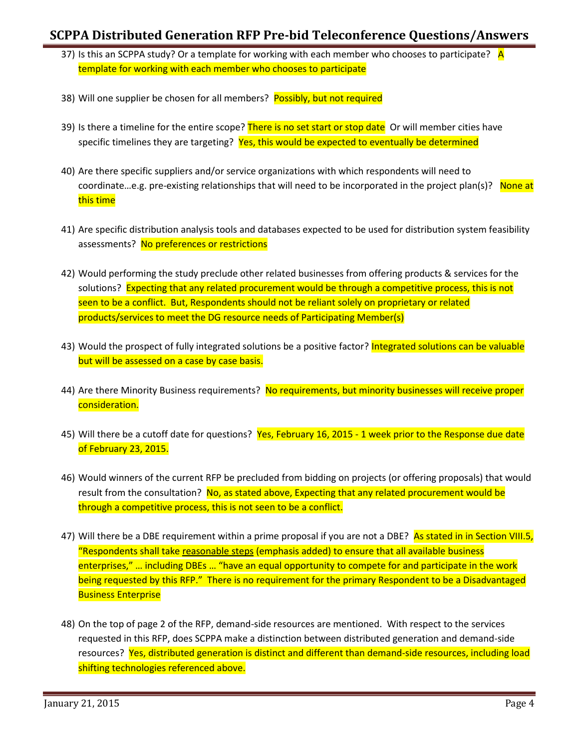- 37) Is this an SCPPA study? Or a template for working with each member who chooses to participate? A template for working with each member who chooses to participate
- 38) Will one supplier be chosen for all members? Possibly, but not required
- 39) Is there a timeline for the entire scope? There is no set start or stop date Or will member cities have specific timelines they are targeting? Yes, this would be expected to eventually be determined
- 40) Are there specific suppliers and/or service organizations with which respondents will need to coordinate...e.g. pre-existing relationships that will need to be incorporated in the project plan(s)? None at this time
- 41) Are specific distribution analysis tools and databases expected to be used for distribution system feasibility assessments? No preferences or restrictions
- 42) Would performing the study preclude other related businesses from offering products & services for the solutions? Expecting that any related procurement would be through a competitive process, this is not seen to be a conflict. But, Respondents should not be reliant solely on proprietary or related products/services to meet the DG resource needs of Participating Member(s)
- 43) Would the prospect of fully integrated solutions be a positive factor? Integrated solutions can be valuable but will be assessed on a case by case basis.
- 44) Are there Minority Business requirements? No requirements, but minority businesses will receive proper consideration.
- 45) Will there be a cutoff date for questions? Yes, February 16, 2015 1 week prior to the Response due date of February 23, 2015.
- 46) Would winners of the current RFP be precluded from bidding on projects (or offering proposals) that would result from the consultation? No, as stated above, Expecting that any related procurement would be through a competitive process, this is not seen to be a conflict.
- 47) Will there be a DBE requirement within a prime proposal if you are not a DBE? As stated in in Section VIII.5, "Respondents shall take reasonable steps (emphasis added) to ensure that all available business enterprises," … including DBEs … "have an equal opportunity to compete for and participate in the work being requested by this RFP." There is no requirement for the primary Respondent to be a Disadvantaged Business Enterprise
- 48) On the top of page 2 of the RFP, demand-side resources are mentioned. With respect to the services requested in this RFP, does SCPPA make a distinction between distributed generation and demand-side resources? Yes, distributed generation is distinct and different than demand-side resources, including load shifting technologies referenced above.